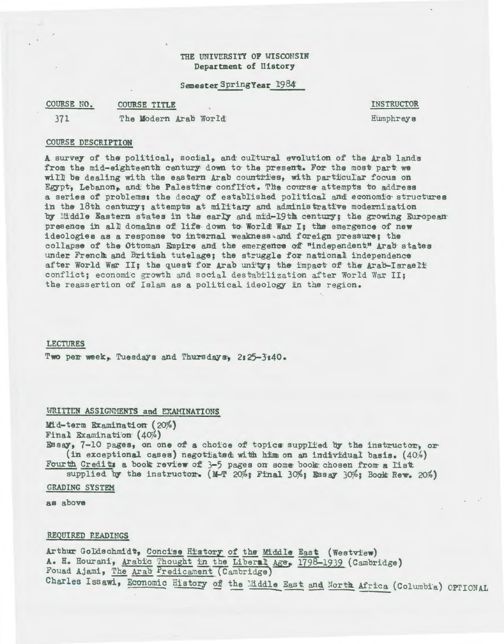## THE UNIVERSITY OF WISCONSIN Department of History

### Semester Spring Year 1984

COURSE NO. **COURSE TITLE** 

371

The Modern Arab World

**INSTRUCTOR** Humphreys

# **COURSE DESCRIPTION**

A survey of the political, social, and cultural evolution of the Arab lands from the mid-eighteenth century down to the present. For the most part we will be dealing with the eastern Arab countries, with particular focus on Egypt, Lebanon, and the Palestine conflict. The course attempts to address a series of problems; the decay of established political and economic structures in the 18th century; attempts at military and administrative modernization by Middle Eastern states in the early and mid-19th century; the growing European presence in all domains of life down to World War I; the emergence of new ideologies as a response to internal weakness and foreign pressure; the collapse of the Ottoman Empire and the emergence of "independent" Arab states under French and British tutelage; the struggle for national independence after World War II; the quest for Arab unity; the impact of the Arab-Israeli conflict; economic growth and social destabilization after World War II; the reassertion of Islam as a political ideology in the region.

### **LECTURES**

Two per week, Tuesdays and Thursdays, 2:25-3:40.

## WRITTEN ASSIGNMENTS and EXAMINATIONS

Mid-term Examination (20%) Final Examination (40%) Essay, 7-10 pages, on one of a choice of topics supplied by the instructor, or (in exceptional cases) negotiated with him on an individual basis.  $(40%)$ Fourth Credits a book review of 3-5 pages on some book chosen from a list

supplied by the instructor.  $(M-T 20\frac{3}{5})$  Final  $30\frac{3}{5}$  Essay  $30\frac{3}{5}$  Book Rew. 20%)

## GRADING SYSTEM

as above

## REQUIRED READINGS

Arthur Goldschmidt, Concise History of the Middle East (Westview) A. H. Hourani, Arabic Thought in the Liberal Age, 1798-1939 (Cambridge) Fouad Ajami, The Arab Predicament (Cambridge) Charles Issawi, Economic History of the Middle East and North Africa (Columbia) OPTIONAL